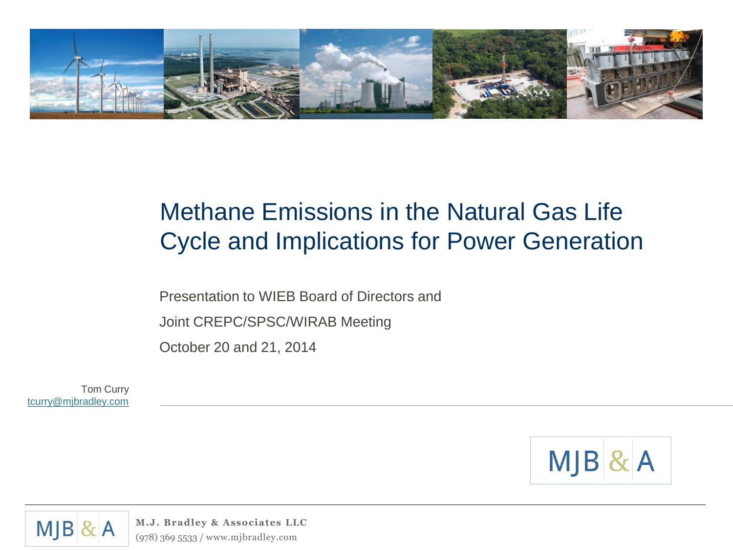

#### Methane Emissions in the Natural Gas Life Cycle and Implications for Power Generation

Presentation to WIEB Board of Directors and

Joint CREPC/SPSC/WIRAB Meeting

October 20 and 21, 2014

Tom Curry [tcurry@mjbradley.com](mailto:tcurry@mjbradley.com)



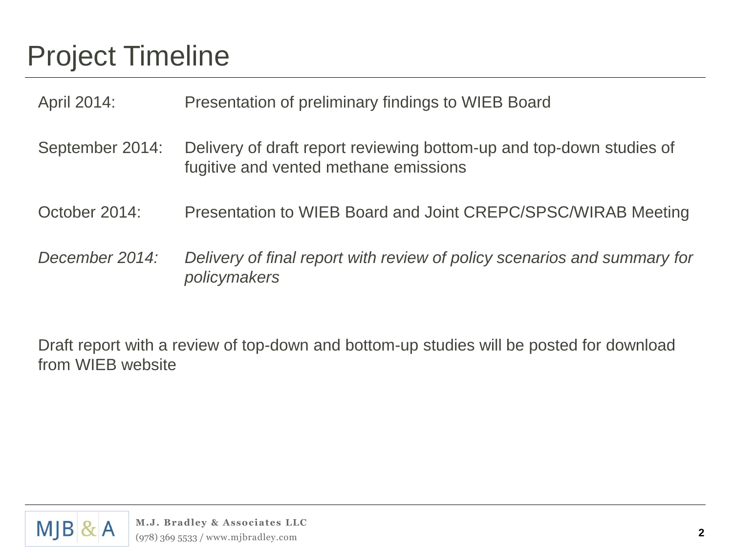## Project Timeline

April 2014: Presentation of preliminary findings to WIEB Board

- September 2014: Delivery of draft report reviewing bottom-up and top-down studies of fugitive and vented methane emissions
- October 2014: Presentation to WIEB Board and Joint CREPC/SPSC/WIRAB Meeting
- *December 2014: Delivery of final report with review of policy scenarios and summary for policymakers*

Draft report with a review of top-down and bottom-up studies will be posted for download from WIEB website

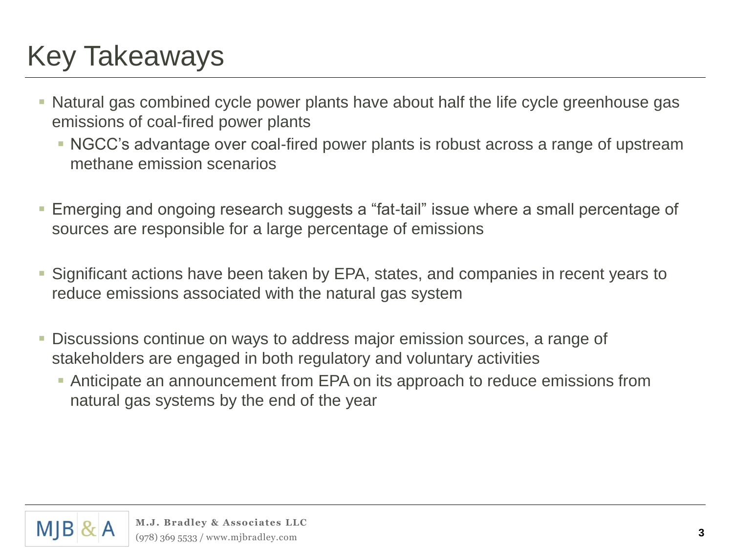## Key Takeaways

- Natural gas combined cycle power plants have about half the life cycle greenhouse gas emissions of coal-fired power plants
	- NGCC's advantage over coal-fired power plants is robust across a range of upstream methane emission scenarios
- Emerging and ongoing research suggests a "fat-tail" issue where a small percentage of sources are responsible for a large percentage of emissions
- Significant actions have been taken by EPA, states, and companies in recent years to reduce emissions associated with the natural gas system
- Discussions continue on ways to address major emission sources, a range of stakeholders are engaged in both regulatory and voluntary activities
	- Anticipate an announcement from EPA on its approach to reduce emissions from natural gas systems by the end of the year

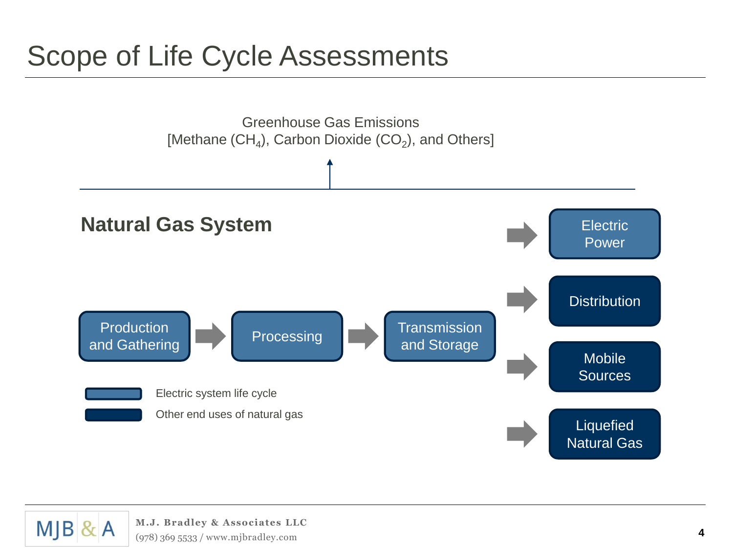## Scope of Life Cycle Assessments



 $MJB$  & A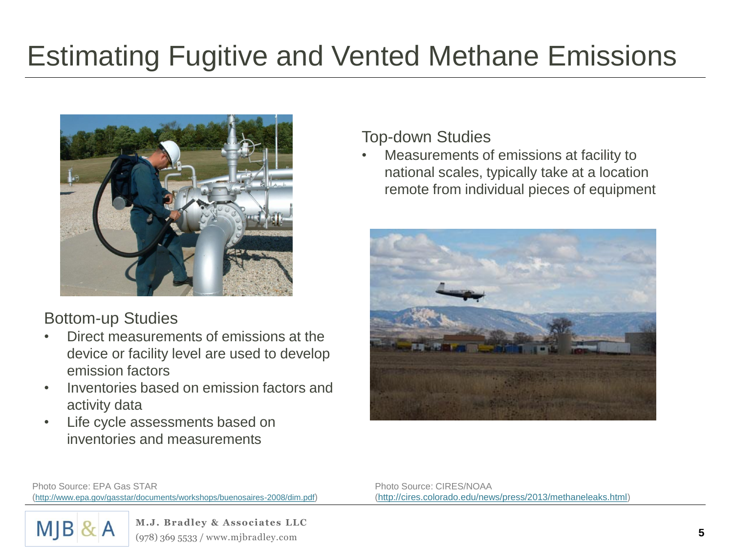# Estimating Fugitive and Vented Methane Emissions



#### Bottom-up Studies

- Direct measurements of emissions at the device or facility level are used to develop emission factors
- Inventories based on emission factors and activity data
- Life cycle assessments based on inventories and measurements

#### Top-down Studies

• Measurements of emissions at facility to national scales, typically take at a location remote from individual pieces of equipment



Photo Source: EPA Gas STAR (<http://www.epa.gov/gasstar/documents/workshops/buenosaires-2008/dim.pdf>) Photo Source: CIRES/NOAA [\(http://cires.colorado.edu/news/press/2013/methaneleaks.html](http://cires.colorado.edu/news/press/2013/methaneleaks.html))

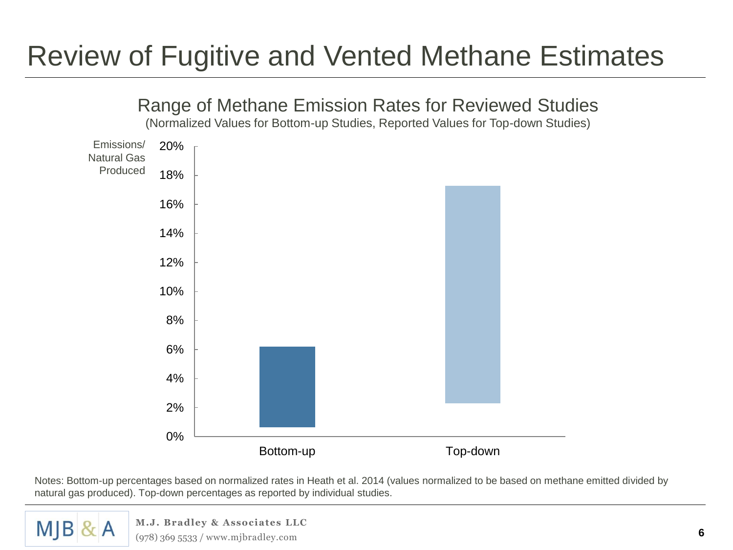## Review of Fugitive and Vented Methane Estimates



Notes: Bottom-up percentages based on normalized rates in Heath et al. 2014 (values normalized to be based on methane emitted divided by natural gas produced). Top-down percentages as reported by individual studies.

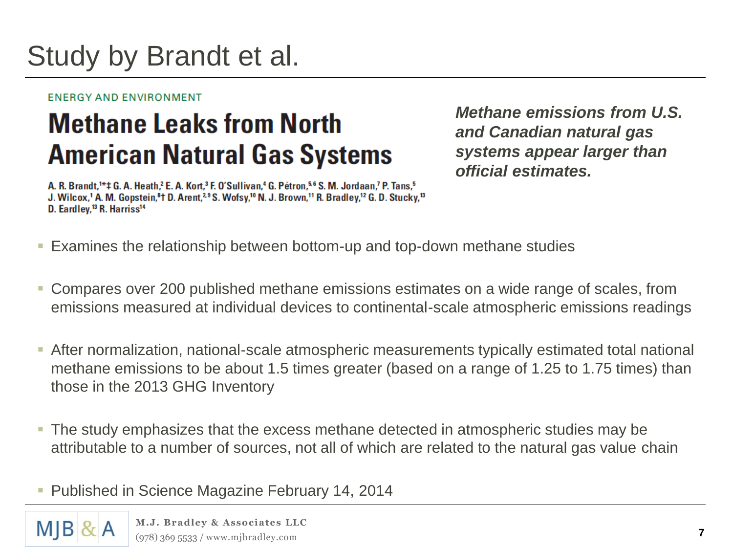## Study by Brandt et al.

#### ENERGY AND ENVIRONMENT

## **Methane Leaks from North American Natural Gas Systems**

A. R. Brandt,<sup>1\*</sup> ± G. A. Heath,<sup>2</sup> E. A. Kort,<sup>3</sup> F. O'Sullivan,<sup>4</sup> G. Pétron,<sup>5,6</sup> S. M. Jordaan,<sup>7</sup> P. Tans,<sup>5</sup> J. Wilcox,<sup>1</sup> A. M. Gopstein,<sup>8</sup>t D. Arent,<sup>2,9</sup> S. Wofsy,<sup>10</sup> N. J. Brown,<sup>11</sup> R. Bradley,<sup>12</sup> G. D. Stucky,<sup>13</sup> D. Eardley,<sup>13</sup> R. Harriss<sup>14</sup>

*Methane emissions from U.S. and Canadian natural gas systems appear larger than official estimates.*

- Examines the relationship between bottom-up and top-down methane studies
- Compares over 200 published methane emissions estimates on a wide range of scales, from emissions measured at individual devices to continental-scale atmospheric emissions readings
- After normalization, national-scale atmospheric measurements typically estimated total national methane emissions to be about 1.5 times greater (based on a range of 1.25 to 1.75 times) than those in the 2013 GHG Inventory
- The study emphasizes that the excess methane detected in atmospheric studies may be attributable to a number of sources, not all of which are related to the natural gas value chain
- **Published in Science Magazine February 14, 2014**

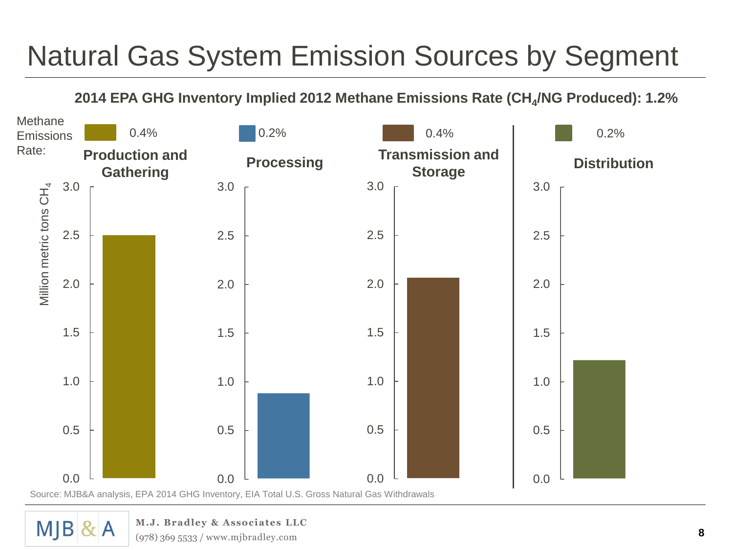# Natural Gas System Emission Sources by Segment

#### **2014 EPA GHG Inventory Implied 2012 Methane Emissions Rate (CH<sup>4</sup> /NG Produced): 1.2%**



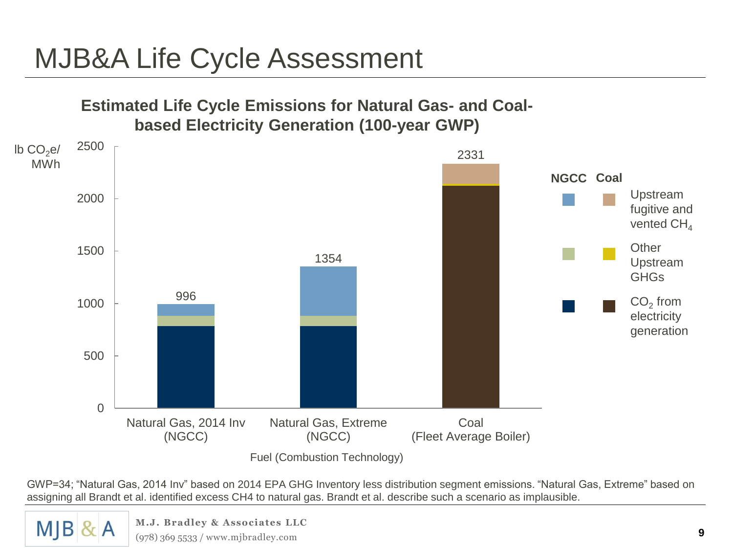## MJB&A Life Cycle Assessment



GWP=34; "Natural Gas, 2014 Inv" based on 2014 EPA GHG Inventory less distribution segment emissions. "Natural Gas, Extreme" based on assigning all Brandt et al. identified excess CH4 to natural gas. Brandt et al. describe such a scenario as implausible.

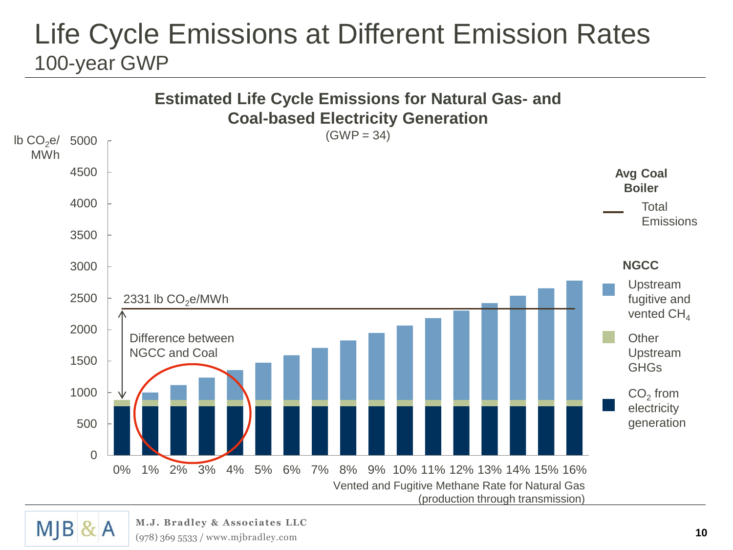### Life Cycle Emissions at Different Emission Rates 100-year GWP



 $M$ JB & A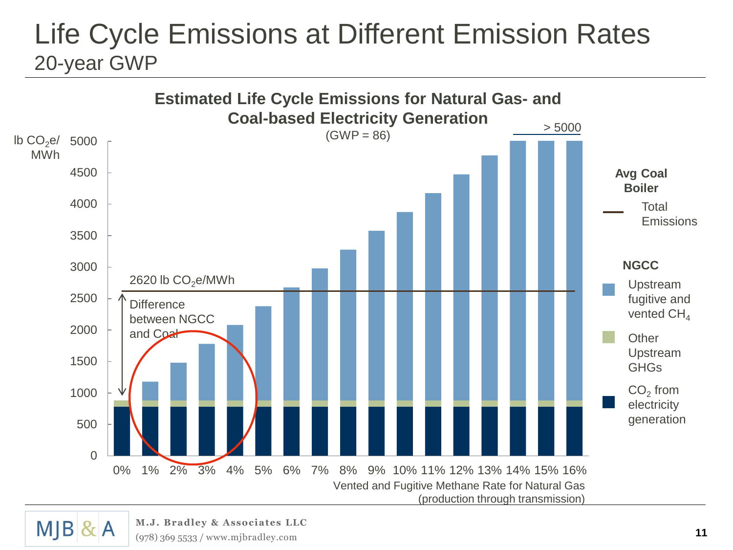### Life Cycle Emissions at Different Emission Rates 20-year GWP



 $M$ JB & A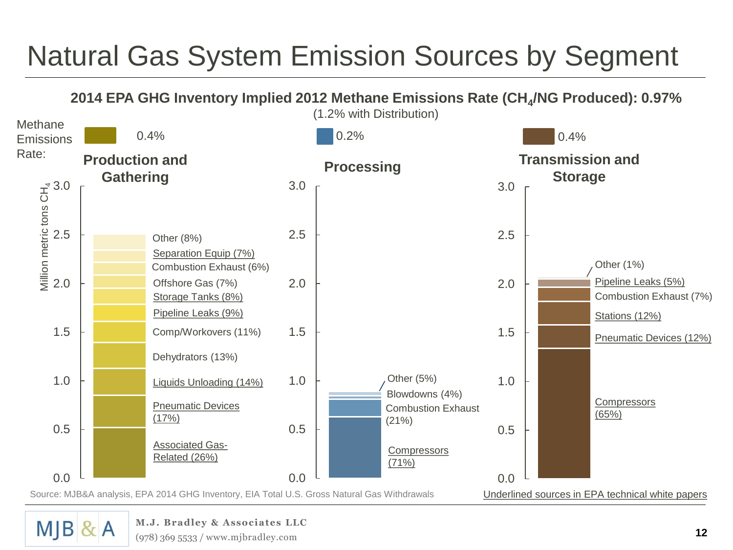# Natural Gas System Emission Sources by Segment

**2014 EPA GHG Inventory Implied 2012 Methane Emissions Rate (CH<sup>4</sup> /NG Produced): 0.97%**



 $M$  $B$  &  $A$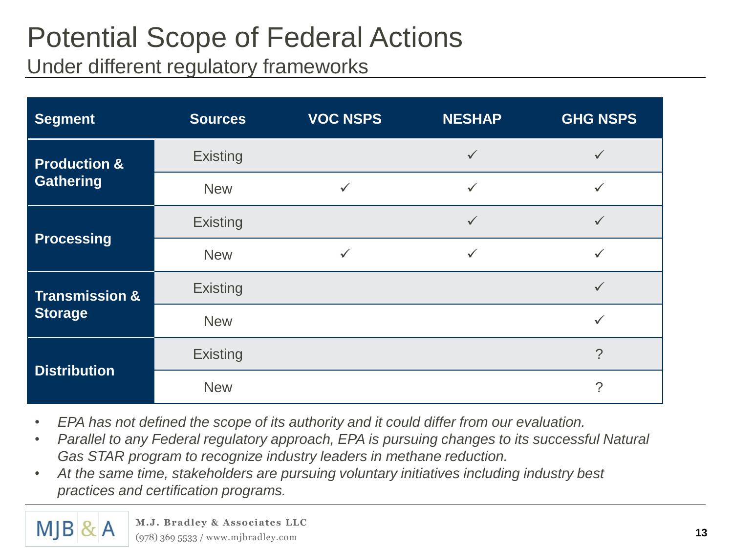### Potential Scope of Federal Actions Under different regulatory frameworks

| <b>Segment</b>                              | <b>Sources</b>  | <b>VOC NSPS</b> | <b>NESHAP</b> | <b>GHG NSPS</b> |
|---------------------------------------------|-----------------|-----------------|---------------|-----------------|
| <b>Production &amp;</b><br><b>Gathering</b> | <b>Existing</b> |                 | $\checkmark$  | $\checkmark$    |
|                                             | <b>New</b>      | $\checkmark$    | $\checkmark$  | $\checkmark$    |
| <b>Processing</b>                           | <b>Existing</b> |                 | $\checkmark$  | $\checkmark$    |
|                                             | <b>New</b>      | $\checkmark$    | $\checkmark$  | $\checkmark$    |
| <b>Transmission &amp;</b><br><b>Storage</b> | <b>Existing</b> |                 |               | $\checkmark$    |
|                                             | <b>New</b>      |                 |               | ✓               |
| <b>Distribution</b>                         | <b>Existing</b> |                 |               | $\mathcal{P}$   |
|                                             | <b>New</b>      |                 |               | $\overline{?}$  |

- *EPA has not defined the scope of its authority and it could differ from our evaluation.*
- *Parallel to any Federal regulatory approach, EPA is pursuing changes to its successful Natural Gas STAR program to recognize industry leaders in methane reduction.*
- *At the same time, stakeholders are pursuing voluntary initiatives including industry best practices and certification programs.*